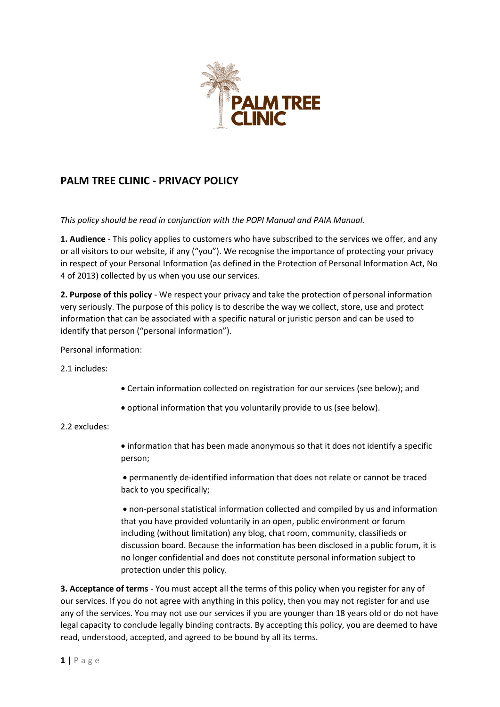

# **PALM TREE CLINIC - PRIVACY POLICY**

*This policy should be read in conjunction with the POPI Manual and PAIA Manual.*

**1. Audience** - This policy applies to customers who have subscribed to the services we offer, and any or all visitors to our website, if any ("you"). We recognise the importance of protecting your privacy in respect of your Personal Information (as defined in the Protection of Personal Information Act, No 4 of 2013) collected by us when you use our services.

**2. Purpose of this policy** - We respect your privacy and take the protection of personal information very seriously. The purpose of this policy is to describe the way we collect, store, use and protect information that can be associated with a specific natural or juristic person and can be used to identify that person ("personal information").

Personal information:

2.1 includes:

- Certain information collected on registration for our services (see below); and
- optional information that you voluntarily provide to us (see below).

# 2.2 excludes:

• information that has been made anonymous so that it does not identify a specific person;

• permanently de-identified information that does not relate or cannot be traced back to you specifically;

• non-personal statistical information collected and compiled by us and information that you have provided voluntarily in an open, public environment or forum including (without limitation) any blog, chat room, community, classifieds or discussion board. Because the information has been disclosed in a public forum, it is no longer confidential and does not constitute personal information subject to protection under this policy.

**3. Acceptance of terms** - You must accept all the terms of this policy when you register for any of our services. If you do not agree with anything in this policy, then you may not register for and use any of the services. You may not use our services if you are younger than 18 years old or do not have legal capacity to conclude legally binding contracts. By accepting this policy, you are deemed to have read, understood, accepted, and agreed to be bound by all its terms.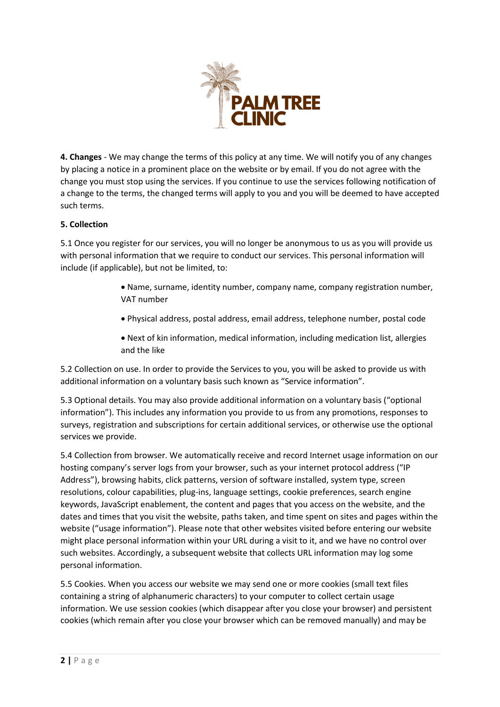

**4. Changes** - We may change the terms of this policy at any time. We will notify you of any changes by placing a notice in a prominent place on the website or by email. If you do not agree with the change you must stop using the services. If you continue to use the services following notification of a change to the terms, the changed terms will apply to you and you will be deemed to have accepted such terms.

# **5. Collection**

5.1 Once you register for our services, you will no longer be anonymous to us as you will provide us with personal information that we require to conduct our services. This personal information will include (if applicable), but not be limited, to:

- Name, surname, identity number, company name, company registration number, VAT number
- Physical address, postal address, email address, telephone number, postal code
- Next of kin information, medical information, including medication list, allergies and the like

5.2 Collection on use. In order to provide the Services to you, you will be asked to provide us with additional information on a voluntary basis such known as "Service information".

5.3 Optional details. You may also provide additional information on a voluntary basis ("optional information"). This includes any information you provide to us from any promotions, responses to surveys, registration and subscriptions for certain additional services, or otherwise use the optional services we provide.

5.4 Collection from browser. We automatically receive and record Internet usage information on our hosting company's server logs from your browser, such as your internet protocol address ("IP Address"), browsing habits, click patterns, version of software installed, system type, screen resolutions, colour capabilities, plug-ins, language settings, cookie preferences, search engine keywords, JavaScript enablement, the content and pages that you access on the website, and the dates and times that you visit the website, paths taken, and time spent on sites and pages within the website ("usage information"). Please note that other websites visited before entering our website might place personal information within your URL during a visit to it, and we have no control over such websites. Accordingly, a subsequent website that collects URL information may log some personal information.

5.5 Cookies. When you access our website we may send one or more cookies (small text files containing a string of alphanumeric characters) to your computer to collect certain usage information. We use session cookies (which disappear after you close your browser) and persistent cookies (which remain after you close your browser which can be removed manually) and may be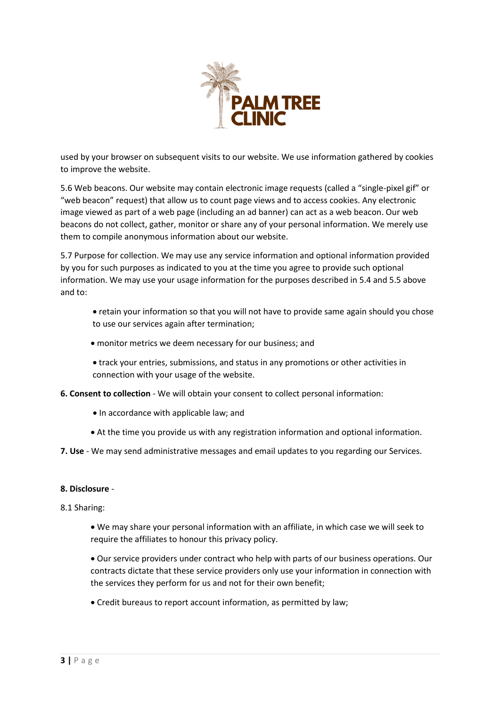

used by your browser on subsequent visits to our website. We use information gathered by cookies to improve the website.

5.6 Web beacons. Our website may contain electronic image requests (called a "single-pixel gif" or "web beacon" request) that allow us to count page views and to access cookies. Any electronic image viewed as part of a web page (including an ad banner) can act as a web beacon. Our web beacons do not collect, gather, monitor or share any of your personal information. We merely use them to compile anonymous information about our website.

5.7 Purpose for collection. We may use any service information and optional information provided by you for such purposes as indicated to you at the time you agree to provide such optional information. We may use your usage information for the purposes described in 5.4 and 5.5 above and to:

- retain your information so that you will not have to provide same again should you chose to use our services again after termination;
- monitor metrics we deem necessary for our business; and
- track your entries, submissions, and status in any promotions or other activities in connection with your usage of the website.
- **6. Consent to collection** We will obtain your consent to collect personal information:
	- In accordance with applicable law; and
	- At the time you provide us with any registration information and optional information.
- **7. Use** We may send administrative messages and email updates to you regarding our Services.

### **8. Disclosure** -

### 8.1 Sharing:

• We may share your personal information with an affiliate, in which case we will seek to require the affiliates to honour this privacy policy.

• Our service providers under contract who help with parts of our business operations. Our contracts dictate that these service providers only use your information in connection with the services they perform for us and not for their own benefit;

• Credit bureaus to report account information, as permitted by law;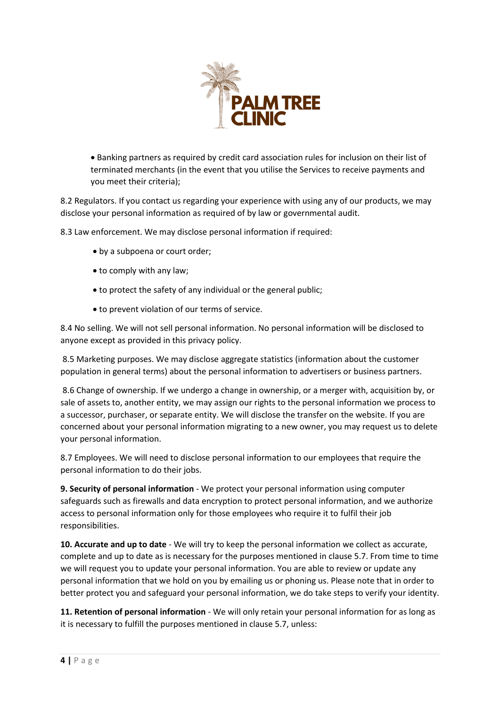

• Banking partners as required by credit card association rules for inclusion on their list of terminated merchants (in the event that you utilise the Services to receive payments and you meet their criteria);

8.2 Regulators. If you contact us regarding your experience with using any of our products, we may disclose your personal information as required of by law or governmental audit.

8.3 Law enforcement. We may disclose personal information if required:

- by a subpoena or court order;
- to comply with any law;
- to protect the safety of any individual or the general public;
- to prevent violation of our terms of service.

8.4 No selling. We will not sell personal information. No personal information will be disclosed to anyone except as provided in this privacy policy.

8.5 Marketing purposes. We may disclose aggregate statistics (information about the customer population in general terms) about the personal information to advertisers or business partners.

8.6 Change of ownership. If we undergo a change in ownership, or a merger with, acquisition by, or sale of assets to, another entity, we may assign our rights to the personal information we process to a successor, purchaser, or separate entity. We will disclose the transfer on the website. If you are concerned about your personal information migrating to a new owner, you may request us to delete your personal information.

8.7 Employees. We will need to disclose personal information to our employees that require the personal information to do their jobs.

**9. Security of personal information** - We protect your personal information using computer safeguards such as firewalls and data encryption to protect personal information, and we authorize access to personal information only for those employees who require it to fulfil their job responsibilities.

**10. Accurate and up to date** - We will try to keep the personal information we collect as accurate, complete and up to date as is necessary for the purposes mentioned in clause 5.7. From time to time we will request you to update your personal information. You are able to review or update any personal information that we hold on you by emailing us or phoning us. Please note that in order to better protect you and safeguard your personal information, we do take steps to verify your identity.

**11. Retention of personal information** - We will only retain your personal information for as long as it is necessary to fulfill the purposes mentioned in clause 5.7, unless: